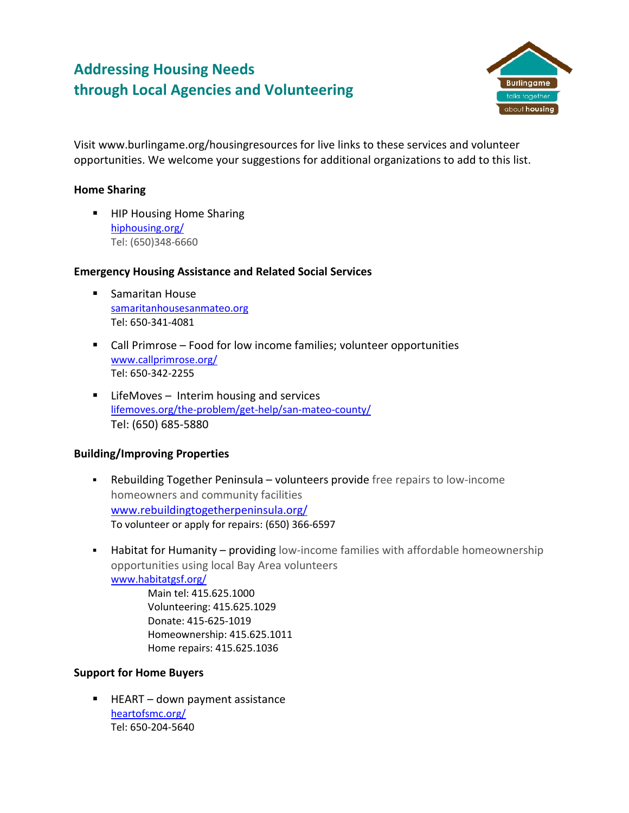# **Addressing Housing Needs through Local Agencies and Volunteering**



Visit www.burlingame.org/housingresources for live links to these services and volunteer opportunities. We welcome your suggestions for additional organizations to add to this list.

#### **Home Sharing**

**HIP Housing Home Sharing** [hiphousing.org/](http://hiphousing.org/) Tel: (650)348-6660

#### **Emergency Housing Assistance and Related Social Services**

- **Samaritan House** [samaritanhousesanmateo.org](http://samaritanhousesanmateo.org/) Tel: 650-341-4081
- Call Primrose Food for low income families; volunteer opportunities [www.callprimrose.org/](https://www.callprimrose.org/) Tel: 650-342-2255
- LifeMoves Interim housing and services [lifemoves.org/the-problem/get-help/san-mateo-county/](https://lifemoves.org/the-problem/get-help/san-mateo-county/) Tel: (650) 685-5880

## **Building/Improving Properties**

- Rebuilding Together Peninsula volunteers provide free repairs to low-income homeowners and community facilities [www.rebuildingtogetherpeninsula.org/](http://www.rebuildingtogetherpeninsula.org/) To volunteer or apply for repairs: (650) 366-6597
- **Habitat for Humanity providing** low-income families with affordable homeownership opportunities using local Bay Area volunteers [www.habitatgsf.org/](https://www.habitatgsf.org/)

Main tel: 415.625.1000 Volunteering: 415.625.1029 Donate: 415-625-1019 Homeownership: 415.625.1011 Home repairs: 415.625.1036

## **Support for Home Buyers**

 $HEART - down payment assistance$ [heartofsmc.org/](https://heartofsmc.org/) Tel: 650-204-5640